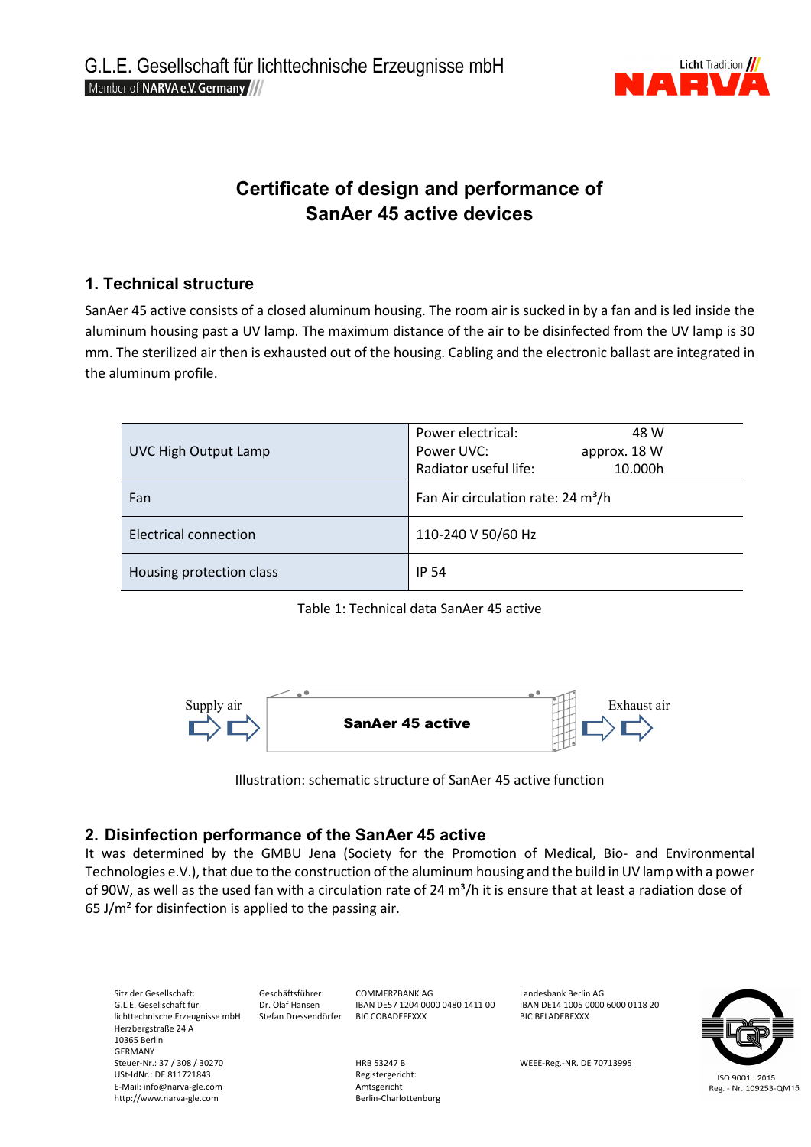

# **Certificate of design and performance of SanAer 45 active devices**

## **1. Technical structure**

SanAer 45 active consists of a closed aluminum housing. The room air is sucked in by a fan and is led inside the aluminum housing past a UV lamp. The maximum distance of the air to be disinfected from the UV lamp is 30 mm. The sterilized air then is exhausted out of the housing. Cabling and the electronic ballast are integrated in the aluminum profile.

| UVC High Output Lamp     | Power electrical:<br>48 W<br>Power UVC:<br>approx. 18 W<br>Radiator useful life:<br>10.000h |  |
|--------------------------|---------------------------------------------------------------------------------------------|--|
| Fan                      | Fan Air circulation rate: 24 m <sup>3</sup> /h                                              |  |
| Electrical connection    | 110-240 V 50/60 Hz                                                                          |  |
| Housing protection class | <b>IP 54</b>                                                                                |  |

Table 1: Technical data SanAer 45 active



Illustration: schematic structure of SanAer 45 active function

## **2. Disinfection performance of the SanAer 45 active**

It was determined by the GMBU Jena (Society for the Promotion of Medical, Bio- and Environmental Technologies e.V.), that due to the construction of the aluminum housing and the build in UV lamp with a power of 90W, as well as the used fan with a circulation rate of 24  $\text{m}^3/\text{h}$  it is ensure that at least a radiation dose of 65 J/ $m<sup>2</sup>$  for disinfection is applied to the passing air.

Sitz der Gesellschaft: Geschäftsführer: COMMERZBANK AG Landesbank Berlin AG Landesbank Berlin AG Landesbank Berlin AG<br>G.L.E. Gesellschaft für CDRT Dr. Olaf Hansen BAN DES7 1204 0000 0480 1411 00 BAN DE14 1005 0000 6000 011 EX. Olaf Hansen IBAN DE57 1204 0000 0480 1411 00 IBAN DE14 1005 0<br>Stefan Dressendörfer IBIC COBADEFFXXX BIC BELADEBEXXX lichttechnische Erzeugnisse mbH Herzbergstraße 24 A 10365 Berlin GERMANY<br>Steuer-Nr.: 37 / 308 / 30270 Steuer-Nr.: 37 MEEE-Reg.-NR. DE 70713995<br>
Registergericht: USt-IdNr.: DE 811721843 ISO 9001:2015 E-Mail: info@narva-gle.com entity and the manufacture of the Amtsgericht<br>
http://www.narva-gle.com entity and the Berlin-Charlottenburg Reg. - Nr. 109253-QM15 http://www.narva-gle.com